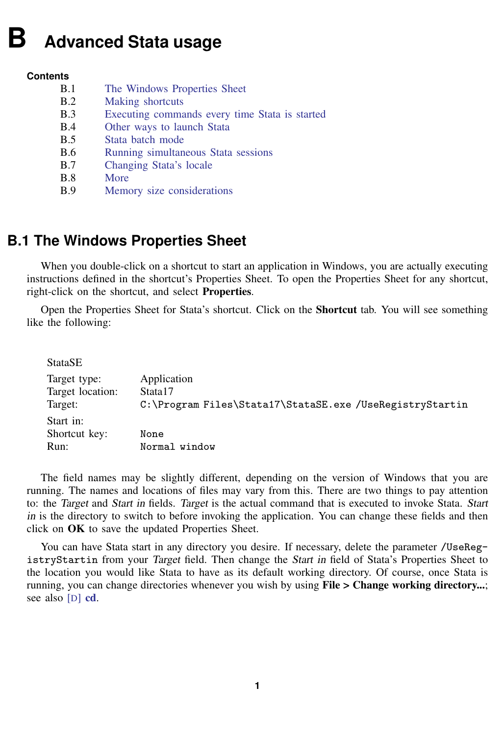# <span id="page-0-1"></span>**B Advanced Stata usage**

#### **Contents**

- **B.1** [The Windows Properties Sheet](#page-0-0)<br>**B.2** Making shortcuts
- **B.2** [Making shortcuts](#page-1-0)<br>**B.3** Executing comma
- [Executing commands every time Stata is started](#page-1-1)
- B.4 [Other ways to launch Stata](#page-2-0)<br>B.5 Stata batch mode
- **B.5** [Stata batch mode](#page-3-0)<br>**B.6** Running simultan
- [Running simultaneous Stata sessions](#page-4-0)
- B.7 [Changing Stata's locale](#page-4-1)<br>B.8 More
- [More](#page-5-0).
- B.9 [Memory size considerations](#page-5-1)

# <span id="page-0-0"></span>**B.1 The Windows Properties Sheet**

When you double-click on a shortcut to start an application in Windows, you are actually executing instructions defined in the shortcut's Properties Sheet. To open the Properties Sheet for any shortcut, right-click on the shortcut, and select Properties.

Open the Properties Sheet for Stata's shortcut. Click on the Shortcut tab. You will see something like the following:

#### StataSE

| Target type:                       | Application                                              |
|------------------------------------|----------------------------------------------------------|
| Target location:                   | Stata <sub>17</sub>                                      |
| Target:                            | C:\Program Files\Stata17\StataSE.exe /UseRegistryStartin |
| Start in:<br>Shortcut key:<br>Run: | None<br>Normal window                                    |

The field names may be slightly different, depending on the version of Windows that you are running. The names and locations of files may vary from this. There are two things to pay attention to: the Target and Start in fields. Target is the actual command that is executed to invoke Stata. Start in is the directory to switch to before invoking the application. You can change these fields and then click on OK to save the updated Properties Sheet.

You can have Stata start in any directory you desire. If necessary, delete the parameter /UseRegistryStartin from your Target field. Then change the Start in field of Stata's Properties Sheet to the location you would like Stata to have as its default working directory. Of course, once Stata is running, you can change directories whenever you wish by using **File > Change working directory...**; see also [D] [cd](https://www.stata.com/manuals/dcd.pdf#dcd).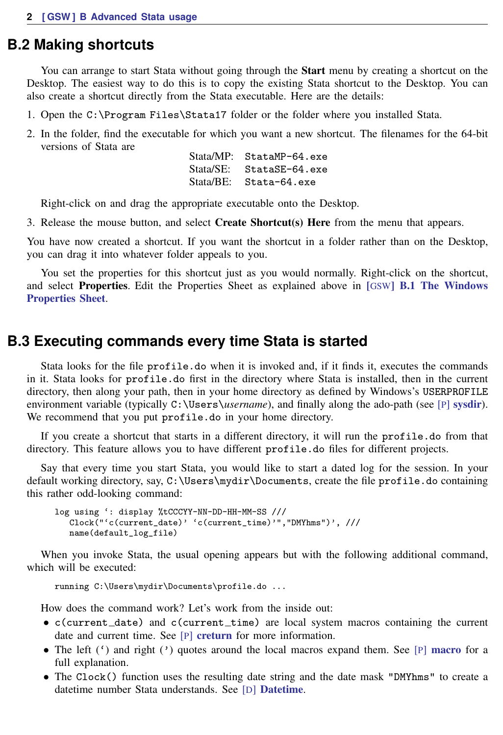## <span id="page-1-0"></span>**B.2 Making shortcuts**

You can arrange to start Stata without going through the **Start** menu by creating a shortcut on the Desktop. The easiest way to do this is to copy the existing Stata shortcut to the Desktop. You can also create a shortcut directly from the Stata executable. Here are the details:

- 1. Open the C:\Program Files\Stata17 folder or the folder where you installed Stata.
- 2. In the folder, find the executable for which you want a new shortcut. The filenames for the 64-bit versions of Stata are

Stata/MP: StataMP-64.exe<br>Stata/SE: StataSE-64.exe Stata/SE: StataSE-64.exe<br>Stata/BE: Stata-64.exe Stata-64.exe

Right-click on and drag the appropriate executable onto the Desktop.

3. Release the mouse button, and select Create Shortcut(s) Here from the menu that appears.

You have now created a shortcut. If you want the shortcut in a folder rather than on the Desktop, you can drag it into whatever folder appeals to you.

<span id="page-1-1"></span>You set the properties for this shortcut just as you would normally. Right-click on the shortcut, and select Properties. Edit the Properties Sheet as explained above in [GSW[\] B.1 The Windows](#page-0-0) [Properties Sheet](#page-0-0).

### **B.3 Executing commands every time Stata is started**

Stata looks for the file profile.do when it is invoked and, if it finds it, executes the commands in it. Stata looks for profile.do first in the directory where Stata is installed, then in the current directory, then along your path, then in your home directory as defined by Windows's USERPROFILE environment variable (typically C:\Users\*username*), and finally along the ado-path (see [P] [sysdir](https://www.stata.com/manuals/psysdir.pdf#psysdir)). We recommend that you put profile.do in your home directory.

If you create a shortcut that starts in a different directory, it will run the profile.do from that directory. This feature allows you to have different profile.do files for different projects.

Say that every time you start Stata, you would like to start a dated log for the session. In your default working directory, say, C:\Users\mydir\Documents, create the file profile.do containing this rather odd-looking command:

```
log using ': display %tCCCYY-NN-DD-HH-MM-SS ///
Clock("'c(current_date)' 'c(current_time)'","DMYhms")', ///
name(default_log_file)
```
When you invoke Stata, the usual opening appears but with the following additional command, which will be executed:

running C:\Users\mydir\Documents\profile.do ...

How does the command work? Let's work from the inside out:

- c(current\_date) and c(current\_time) are local system macros containing the current date and current time. See [P] [creturn](https://www.stata.com/manuals/pcreturn.pdf#pcreturn) for more information.
- The left  $'$ ) and right  $'$ ) quotes around the local [macro](https://www.stata.com/manuals/pmacro.pdf#pmacro)s expand them. See [P] macro for a full explanation.
- The Clock() function uses the resulting date string and the date mask "DMYhms" to create a datetime number Stata understands. See [D] [Datetime](https://www.stata.com/manuals/ddatetime.pdf#dDatetime).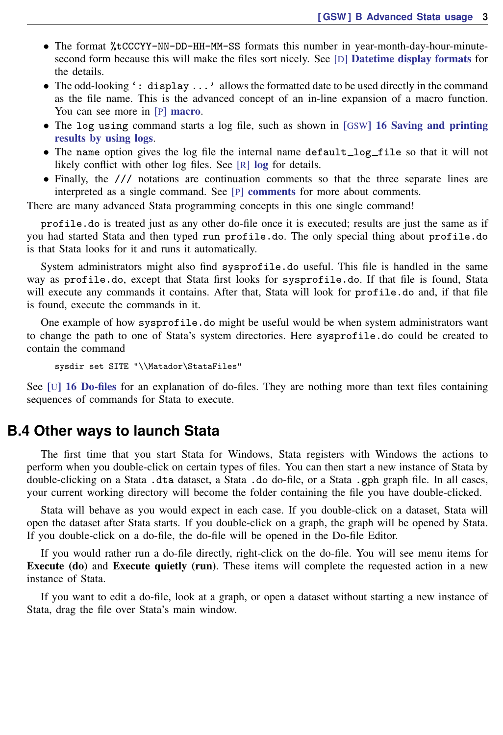- The format %tCCCYY-NN-DD-HH-MM-SS formats this number in year-month-day-hour-minutesecond form because this will make the files sort nicely. See [D] **[Datetime display formats](https://www.stata.com/manuals/ddatetimedisplayformats.pdf#dDatetimedisplayformats)** for the details.
- The odd-looking ': display ...' allows the formatted date to be used directly in the command as the file name. This is the advanced concept of an in-line expansion of a macro function. You can see more in [P] **[macro](https://www.stata.com/manuals/pmacro.pdf#pmacro)**.
- The log using command starts a log file, such as shown in [GSW[\] 16 Saving and printing](https://www.stata.com/manuals/gsw16.pdf#gsw16Savingandprintingresultsbyusinglogs) [results by using logs](https://www.stata.com/manuals/gsw16.pdf#gsw16Savingandprintingresultsbyusinglogs).
- The name option gives the log file the internal name default\_log\_file so that it will not likely conflict with other log files. See [R] [log](https://www.stata.com/manuals/rlog.pdf#rlog) for details.
- Finally, the /// notations are continuation comments so that the three separate lines are interpreted as a single command. See [P] [comments](https://www.stata.com/manuals/pcomments.pdf#pcomments) for more about comments.

There are many advanced Stata programming concepts in this one single command!

profile.do is treated just as any other do-file once it is executed; results are just the same as if you had started Stata and then typed run profile.do. The only special thing about profile.do is that Stata looks for it and runs it automatically.

System administrators might also find sysprofile.do useful. This file is handled in the same way as profile.do, except that Stata first looks for sysprofile.do. If that file is found, Stata will execute any commands it contains. After that, Stata will look for profile.do and, if that file is found, execute the commands in it.

One example of how sysprofile.do might be useful would be when system administrators want to change the path to one of Stata's system directories. Here sysprofile.do could be created to contain the command

sysdir set SITE "\\Matador\StataFiles"

<span id="page-2-0"></span>See [U[\] 16 Do-files](https://www.stata.com/manuals/u16.pdf#u16Do-files) for an explanation of do-files. They are nothing more than text files containing sequences of commands for Stata to execute.

# **B.4 Other ways to launch Stata**

The first time that you start Stata for Windows, Stata registers with Windows the actions to perform when you double-click on certain types of files. You can then start a new instance of Stata by double-clicking on a Stata .dta dataset, a Stata .do do-file, or a Stata .gph graph file. In all cases, your current working directory will become the folder containing the file you have double-clicked.

Stata will behave as you would expect in each case. If you double-click on a dataset, Stata will open the dataset after Stata starts. If you double-click on a graph, the graph will be opened by Stata. If you double-click on a do-file, the do-file will be opened in the Do-file Editor.

If you would rather run a do-file directly, right-click on the do-file. You will see menu items for **Execute (do)** and **Execute quietly (run)**. These items will complete the requested action in a new instance of Stata.

If you want to edit a do-file, look at a graph, or open a dataset without starting a new instance of Stata, drag the file over Stata's main window.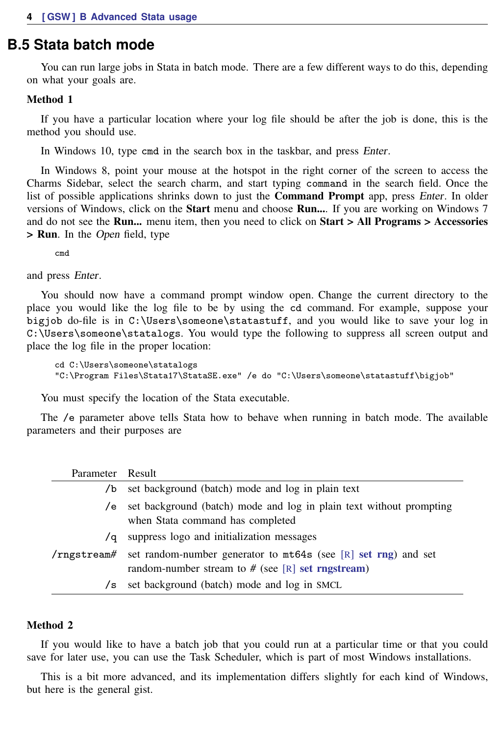# <span id="page-3-0"></span>**B.5 Stata batch mode**

You can run large jobs in Stata in batch mode. There are a few different ways to do this, depending on what your goals are.

#### Method 1

If you have a particular location where your log file should be after the job is done, this is the method you should use.

In Windows 10, type cmd in the search box in the taskbar, and press Enter.

In Windows 8, point your mouse at the hotspot in the right corner of the screen to access the Charms Sidebar, select the search charm, and start typing command in the search field. Once the list of possible applications shrinks down to just the **Command Prompt** app, press Enter. In older versions of Windows, click on the **Start** menu and choose **Run...** If you are working on Windows 7 and do not see the **Run...** menu item, then you need to click on **Start > All Programs > Accessories** > **Run**. In the *Open* field, type

cmd

and press Enter.

You should now have a command prompt window open. Change the current directory to the place you would like the log file to be by using the cd command. For example, suppose your bigjob do-file is in C:\Users\someone\statastuff, and you would like to save your log in C:\Users\someone\statalogs. You would type the following to suppress all screen output and place the log file in the proper location:

cd C:\Users\someone\statalogs "C:\Program Files\Stata17\StataSE.exe" /e do "C:\Users\someone\statastuff\bigjob"

You must specify the location of the Stata executable.

The /e parameter above tells Stata how to behave when running in batch mode. The available parameters and their purposes are

| Parameter Result |                                                                                                                                             |
|------------------|---------------------------------------------------------------------------------------------------------------------------------------------|
|                  | /b set background (batch) mode and log in plain text                                                                                        |
|                  | /e set background (batch) mode and log in plain text without prompting<br>when Stata command has completed                                  |
| /a               | suppress logo and initialization messages                                                                                                   |
|                  | /rngstream# set random-number generator to $m \text{t64s}$ (see [R] set rng) and set<br>random-number stream to $#$ (see [R] set rngstream) |
| /s               | set background (batch) mode and log in SMCL                                                                                                 |

#### Method 2

If you would like to have a batch job that you could run at a particular time or that you could save for later use, you can use the Task Scheduler, which is part of most Windows installations.

This is a bit more advanced, and its implementation differs slightly for each kind of Windows, but here is the general gist.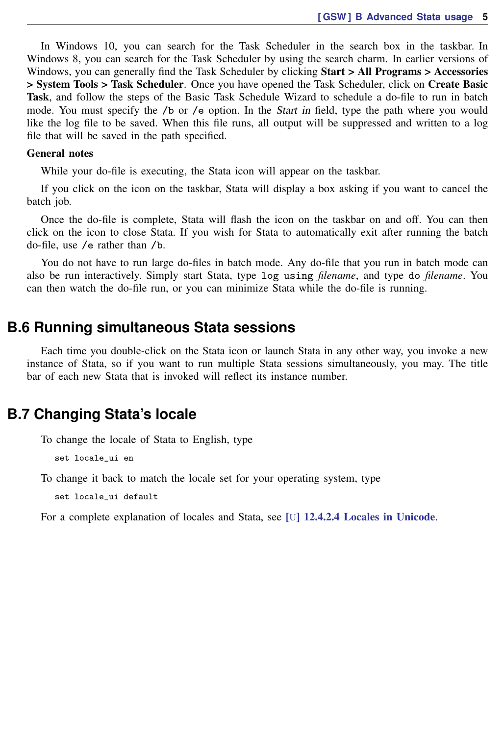In Windows 10, you can search for the Task Scheduler in the search box in the taskbar. In Windows 8, you can search for the Task Scheduler by using the search charm. In earlier versions of Windows, you can generally find the Task Scheduler by clicking **Start > All Programs > Accessories** > System Tools > Task Scheduler. Once you have opened the Task Scheduler, click on Create Basic Task, and follow the steps of the Basic Task Schedule Wizard to schedule a do-file to run in batch mode. You must specify the /b or /e option. In the *Start in* field, type the path where you would like the log file to be saved. When this file runs, all output will be suppressed and written to a log file that will be saved in the path specified.

#### General notes

While your do-file is executing, the Stata icon will appear on the taskbar.

If you click on the icon on the taskbar, Stata will display a box asking if you want to cancel the batch job.

Once the do-file is complete, Stata will flash the icon on the taskbar on and off. You can then click on the icon to close Stata. If you wish for Stata to automatically exit after running the batch do-file, use /e rather than /b.

You do not have to run large do-files in batch mode. Any do-file that you run in batch mode can also be run interactively. Simply start Stata, type log using *filename*, and type do *filename*. You can then watch the do-file run, or you can minimize Stata while the do-file is running.

### <span id="page-4-0"></span>**B.6 Running simultaneous Stata sessions**

<span id="page-4-1"></span>Each time you double-click on the Stata icon or launch Stata in any other way, you invoke a new instance of Stata, so if you want to run multiple Stata sessions simultaneously, you may. The title bar of each new Stata that is invoked will reflect its instance number.

### **B.7 Changing Stata's locale**

To change the locale of Stata to English, type

set locale\_ui en

To change it back to match the locale set for your operating system, type

set locale\_ui default

For a complete explanation of locales and Stata, see [U[\] 12.4.2.4 Locales in Unicode](https://www.stata.com/manuals/u12.pdf#u12.4.2.4LocalesinUnicode).